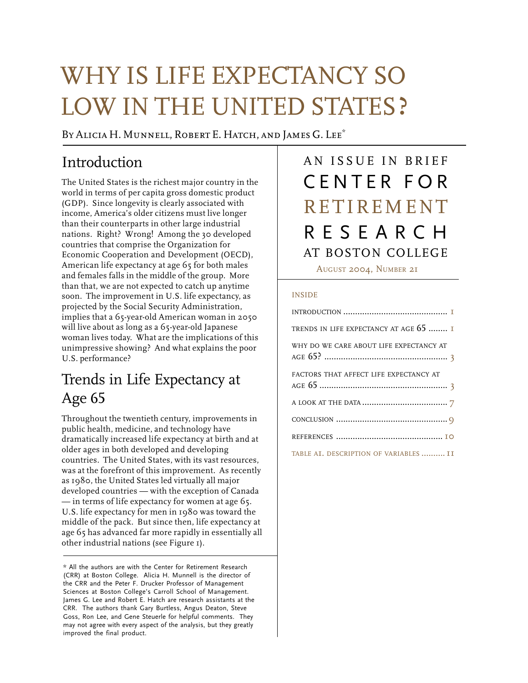# WHY IS LIFE EXPECTANCY SO LOW IN THE UNITED STATES ?

BY ALICIA H. MUNNELL, ROBERT E. HATCH, AND JAMES G. LEE<sup>\*</sup>

## Introduction

The United States is the richest major country in the world in terms of per capita gross domestic product (GDP). Since longevity is clearly associated with income, America's older citizens must live longer than their counterparts in other large industrial nations. Right? Wrong! Among the 30 developed countries that comprise the Organization for Economic Cooperation and Development (OECD), American life expectancy at age 65 for both males and females falls in the middle of the group. More than that, we are not expected to catch up anytime soon. The improvement in U.S. life expectancy, as projected by the Social Security Administration, implies that a 65-year-old American woman in 2050 will live about as long as a 65-year-old Japanese woman lives today. What are the implications of this unimpressive showing? And what explains the poor U.S. performance?

## Trends in Life Expectancy at Age 65

Throughout the twentieth century, improvements in public health, medicine, and technology have dramatically increased life expectancy at birth and at older ages in both developed and developing countries. The United States, with its vast resources, was at the forefront of this improvement. As recently as 1980, the United States led virtually all major developed countries — with the exception of Canada — in terms of life expectancy for women at age 65. U.S. life expectancy for men in 1980 was toward the middle of the pack. But since then, life expectancy at age 65 has advanced far more rapidly in essentially all other industrial nations (see Figure 1).

## AN ISSUE IN BRIEF CENTER FOR AT BOSTON COLLEGE RESEARCH RETIREMENT

AUGUST 2004, NUMBER 21

#### INSIDE

| TRENDS IN LIFE EXPECTANCY AT AGE 65  I  |
|-----------------------------------------|
| WHY DO WE CARE ABOUT LIFE EXPECTANCY AT |
| FACTORS THAT AFFECT LIFE EXPECTANCY AT  |
|                                         |
|                                         |
|                                         |
| TABLE AI. DESCRIPTION OF VARIABLES  II  |

<sup>\*</sup> All the authors are with the Center for Retirement Research (CRR) at Boston College. Alicia H. Munnell is the director of the CRR and the Peter F. Drucker Professor of Management Sciences at Boston College's Carroll School of Management. James G. Lee and Robert E. Hatch are research assistants at the CRR. The authors thank Gary Burtless, Angus Deaton, Steve Goss, Ron Lee, and Gene Steuerle for helpful comments. They may not agree with every aspect of the analysis, but they greatly improved the final product.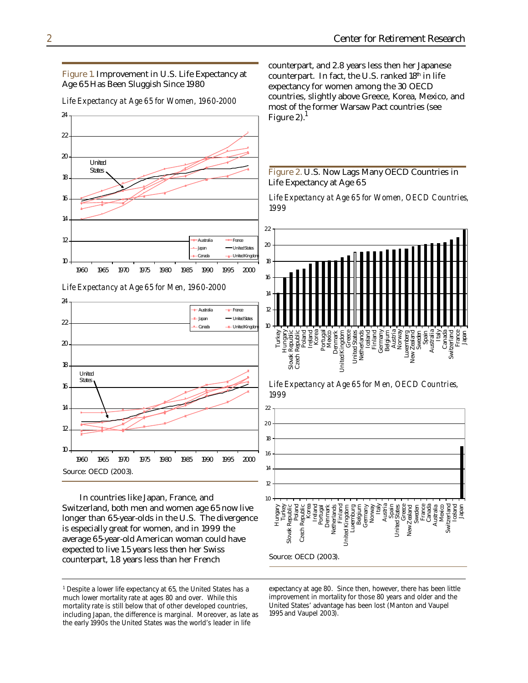Figure 1. Improvement in U.S. Life Expectancy at Age 65 Has Been Sluggish Since 1980

 $10$ 12 14 16 18 20 22 24 1960 1965 1970 1975 1980 1985 1990 1995 2000 - Australia <del>- I Franc</del>e - United S Canada <del>J</del> United Kingdom United **States** 

*Life Expectancy at Age 65 for Men, 1960-2000*



In countries like Japan, France, and Switzerland, both men and women age 65 now live longer than 65-year-olds in the U.S. The divergence is especially great for women, and in 1999 the average 65-year-old American woman could have expected to live 1.5 years less then her Swiss counterpart, 1.8 years less than her French

counterpart, and 2.8 years less then her Japanese counterpart. In fact, the U.S. ranked 18th in life expectancy for women among the 30 OECD countries, slightly above Greece, Korea, Mexico, and most of the former Warsaw Pact countries (see Figure 2). $<sup>1</sup>$ </sup>



*Life Expectancy at Age 65 for Women, OECD Countries, 1999*



*Life Expectancy at Age 65 for Men, OECD Countries, 1999*



expectancy at age 80. Since then, however, there has been little improvement in mortality for those 80 years and older and the United States' advantage has been lost (Manton and Vaupel 1995 and Vaupel 2003).

*Life Expectancy at Age 65 for Women, 1960-2000*

<sup>&</sup>lt;sup>1</sup> Despite a lower life expectancy at 65, the United States has a much lower mortality rate at ages 80 and over. While this mortality rate is still below that of other developed countries, including Japan, the difference is marginal. Moreover, as late as the early 1990s the United States was the world's leader in life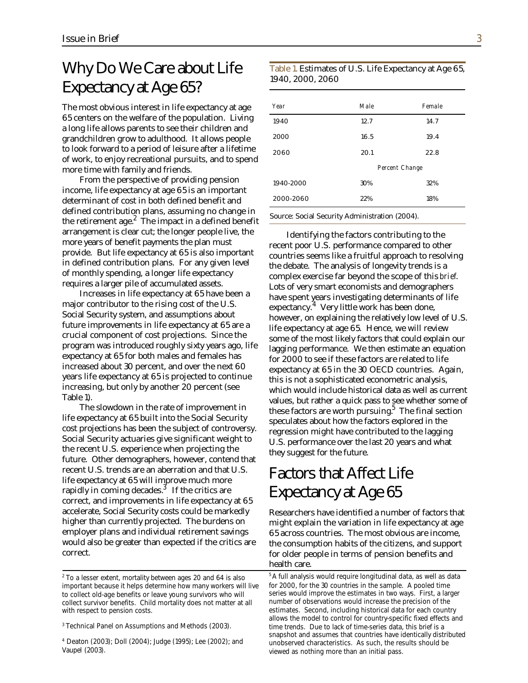## Why Do We Care about Life Expectancy at Age 65?

The most obvious interest in life expectancy at age 65 centers on the welfare of the population. Living a long life allows parents to see their children and grandchildren grow to adulthood. It allows people to look forward to a period of leisure after a lifetime of work, to enjoy recreational pursuits, and to spend more time with family and friends.

From the perspective of providing pension income, life expectancy at age 65 is an important determinant of cost in both defined benefit and defined contribution plans, assuming no change in the retirement age. $^2$  The impact in a defined benefit arrangement is clear cut; the longer people live, the more years of benefit payments the plan must provide. But life expectancy at 65 is also important in defined contribution plans. For any given level of monthly spending, a longer life expectancy requires a larger pile of accumulated assets.

Increases in life expectancy at 65 have been a major contributor to the rising cost of the U.S. Social Security system, and assumptions about future improvements in life expectancy at 65 are a crucial component of cost projections. Since the program was introduced roughly sixty years ago, life expectancy at 65 for both males and females has increased about 30 percent, and over the next 60 years life expectancy at 65 is projected to continue increasing, but only by another 20 percent (see Table 1).

The slowdown in the rate of improvement in life expectancy at 65 built into the Social Security cost projections has been the subject of controversy. Social Security actuaries give significant weight to the recent U.S. experience when projecting the future. Other demographers, however, contend that recent U.S. trends are an aberration and that U.S. life expectancy at 65 will improve much more rapidly in coming decades. $^3\,$  If the critics are correct, and improvements in life expectancy at 65 accelerate, Social Security costs could be markedly higher than currently projected. The burdens on employer plans and individual retirement savings would also be greater than expected if the critics are correct.

#### Table 1. Estimates of U.S. Life Expectancy at Age 65, 1940, 2000, 2060

| Year      | Male           | Female |  |
|-----------|----------------|--------|--|
| 1940      | 12.7           | 14.7   |  |
| 2000      | 16.5           | 19.4   |  |
| 2060      | 20.1           | 22.8   |  |
|           | Percent Change |        |  |
| 1940-2000 | 30%            | 32%    |  |
| 2000-2060 | 22%            | 18%    |  |

Identifying the factors contributing to the recent poor U.S. performance compared to other countries seems like a fruitful approach to resolving the debate. The analysis of longevity trends is a complex exercise far beyond the scope of this *brief*. Lots of very smart economists and demographers have spent years investigating determinants of life expectancy.<sup>4</sup> Very little work has been done, however, on explaining the relatively low level of U.S. life expectancy at age 65. Hence, we will review some of the most likely factors that could explain our lagging performance. We then estimate an equation for 2000 to see if these factors are related to life expectancy at 65 in the 30 OECD countries. Again, this is not a sophisticated econometric analysis, which would include historical data as well as current values, but rather a quick pass to see whether some of these factors are worth pursuing.<sup>5</sup> The final section speculates about how the factors explored in the regression might have contributed to the lagging U.S. performance over the last 20 years and what they suggest for the future.

## Factors that Affect Life Expectancy at Age 65

Researchers have identified a number of factors that might explain the variation in life expectancy at age 65 across countries. The most obvious are income, the consumption habits of the citizens, and support for older people in terms of pension benefits and health care.

important because it helps determine how many workers will live for 2000, for the 30 countries in the sample. A pooled time<br>to collect old-age benefits or leave voung survivors who will series would improve the estimates i to collect old-age benefits or leave young survivors who will series would improve the estimates in two ways. First, a larger in the collect survivor benefits. Child mortality does not matter at all number of observations collect survivor benefits. Child mortality does not matter at all with respect to pension costs.  $\sim$  estimates. Second, including historical data for each country

<sup>&</sup>lt;sup>3</sup> Technical Panel on Assumptions and Methods (2003).

 $4$  Deaton (2003); Doll (2004); Judge (1995); Lee (2002); and Deaton (2003); Doll (2004); Judge (1995); Lee (2002); and unobserved characteristics. As such, the results should be

 $^2$  To a lesser extent, mortality between ages 20 and 64 is also  $\quad$   $\,^5$ A full analysis would require longitudinal data, as well as data allows the model to control for country-specific fixed effects and time trends. Due to lack of time-series data, this brief is a snapshot and assumes that countries have identically distributed viewed as nothing more than an initial pass.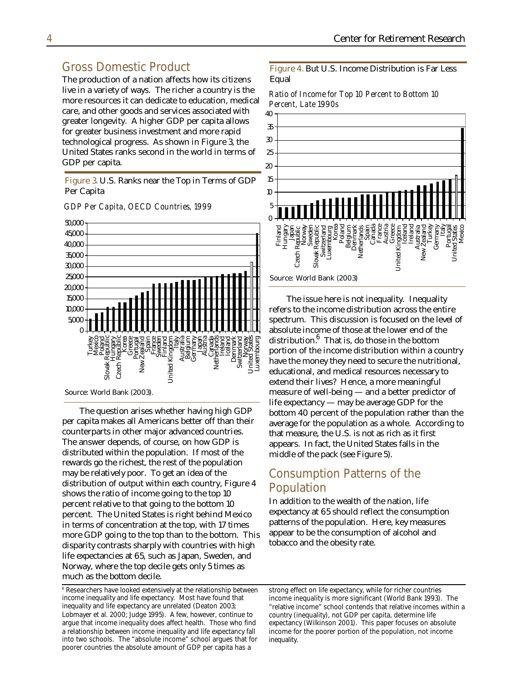#### Gross Domestic Product

The production of a nation affects how its citizens live in a variety of ways. The richer a country is the more resources it can dedicate to education, medical care, and other goods and services associated with greater longevity. A higher GDP per capita allows for greater business investment and more rapid technological progress. As shown in Figure 3, the United States ranks second in the world in terms of GDP per capita.

Figure 3. U.S. Ranks near the Top in Terms of GDP Per Capita



*GDP Per Capita, OECD Countries, 1999*

The question arises whether having high GDP per capita makes all Americans better off than their counterparts in other major advanced countries. The answer depends, of course, on how GDP is distributed within the population. If most of the rewards go the richest, the rest of the population may be relatively poor. To get an idea of the distribution of output within each country, Figure 4 shows the ratio of income going to the top 10 percent relative to that going to the bottom 10 percent. The United States is right behind Mexico in terms of concentration at the top, with 17 times more GDP going to the top than to the bottom. This disparity contrasts sharply with countries with high life expectancies at 65, such as Japan, Sweden, and Norway, where the top decile gets only 5 times as much as the bottom decile.

<sup>6</sup> Researchers have looked extensively at the relationship between strong effect on life expectancy, while for richer countries income inequality and life expectancy. Most have found that income inequality is more signifi income inequality and life expectancy. Most have found that income inequality is more significant (World Bank 1993). The inequality and life expectancy are unrelated (Deaton 2003; "relative income" school contends that rel Lobmayer et al. 2000; Judge 1995). A few, however, continue to country (inequality), not GDP per capita, determine life argue that income inequality does affect health. Those who find expectancy (Wilkinson 2001). This paper focuses on absolute a relationship between income inequality and life expectancy fall income for the poorer portion of the population, not income into two schools. The "absolute income" school argues that for inequality. poorer countries the absolute amount of GDP per capita has a

Figure 4. But U.S. Income Distribution is Far Less Equal

*Ratio of Income for Top 10 Percent to Bottom 10 Percent, Late 1990s*



The issue here is not inequality. Inequality refers to the income distribution across the entire spectrum. This discussion is focused on the level of absolute income of those at the lower end of the distribution. $^6\,$  That is, do those in the bottom portion of the income distribution within a country have the money they need to secure the nutritional, educational, and medical resources necessary to extend their lives? Hence, a more meaningful measure of well-being — and a better predictor of life expectancy — may be average GDP for the bottom 40 percent of the population rather than the average for the population as a whole. According to that measure, the U.S. is not as rich as it first appears. In fact, the United States falls in the middle of the pack (see Figure 5).

#### Consumption Patterns of the Population

In addition to the wealth of the nation, life expectancy at 65 should reflect the consumption patterns of the population. Here, key measures appear to be the consumption of alcohol and tobacco and the obesity rate.

inequality and life expectancy are unrelated (Deaton 2003;<br>
Lobmayer et al. 2000; Judge 1995). A few, however, continue to country (inequality), not GDP per capita, determine life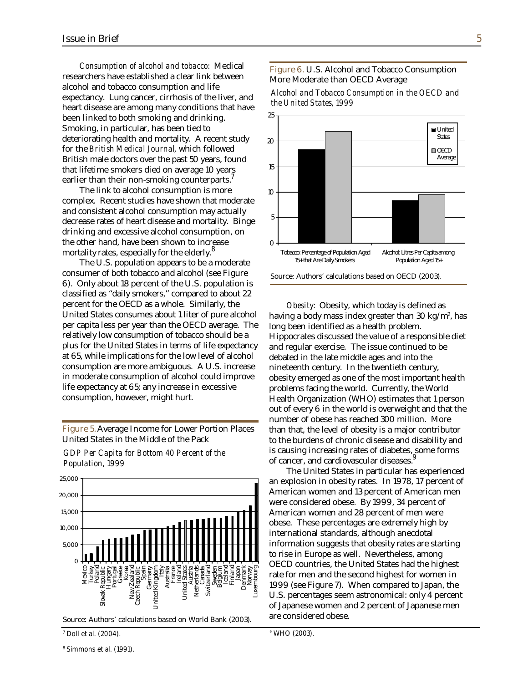*Consumption of alcohol and tobacco:* Medical researchers have established a clear link between alcohol and tobacco consumption and life expectancy. Lung cancer, cirrhosis of the liver, and heart disease are among many conditions that have been linked to both smoking and drinking. Smoking, in particular, has been tied to deteriorating health and mortality. A recent study for the *British Medical Journal*, which followed British male doctors over the past 50 years, found that lifetime smokers died on average 10 years earlier than their non-smoking counterparts.<sup>7</sup>

The link to alcohol consumption is more complex. Recent studies have shown that moderate and consistent alcohol consumption may actually decrease rates of heart disease and mortality. Binge drinking and excessive alcohol consumption, on the other hand, have been shown to increase mortality rates, especially for the elderly.<sup>8</sup>

The U.S. population appears to be a moderate consumer of both tobacco and alcohol (see Figure 6). Only about 18 percent of the U.S. population is classified as "daily smokers," compared to about 22 percent for the OECD as a whole. Similarly, the United States consumes about 1 liter of pure alcohol per capita less per year than the OECD average. The relatively low consumption of tobacco should be a plus for the United States in terms of life expectancy at 65, while implications for the low level of alcohol consumption are more ambiguous. A U.S. increase in moderate consumption of alcohol could improve life expectancy at 65; any increase in excessive consumption, however, might hurt.

Figure 5. Average Income for Lower Portion Places United States in the Middle of the Pack

*GDP Per Capita for Bottom 40 Percent of the Population, 1999*



Source: Authors' calculations based on World Bank (2003).

#### Figure 6. U.S. Alcohol and Tobacco Consumption More Moderate than OECD Average

*Alcohol and Tobacco Consumption in the OECD and the United States, 1999*



*Obesity*: Obesity, which today is defined as having a body mass index greater than 30 kg/m², has long been identified as a health problem. Hippocrates discussed the value of a responsible diet and regular exercise. The issue continued to be debated in the late middle ages and into the nineteenth century. In the twentieth century, obesity emerged as one of the most important health problems facing the world. Currently, the World Health Organization (WHO) estimates that 1 person out of every 6 in the world is overweight and that the number of obese has reached 300 million. More than that, the level of obesity is a major contributor to the burdens of chronic disease and disability and is causing increasing rates of diabetes, some forms of cancer, and cardiovascular diseases.<sup>9</sup>

The United States in particular has experienced an explosion in obesity rates. In 1978, 17 percent of American women and 13 percent of American men were considered obese. By 1999, 34 percent of American women and 28 percent of men were obese. These percentages are extremely high by international standards, although anecdotal information suggests that obesity rates are starting to rise in Europe as well. Nevertheless, among OECD countries, the United States had the highest rate for men and the second highest for women in 1999 (see Figure 7). When compared to Japan, the U.S. percentages seem astronomical: only 4 percent of Japanese women and 2 percent of Japanese men are considered obese.

9 WHO (2003).

 $^7$  Doll et al. (2004).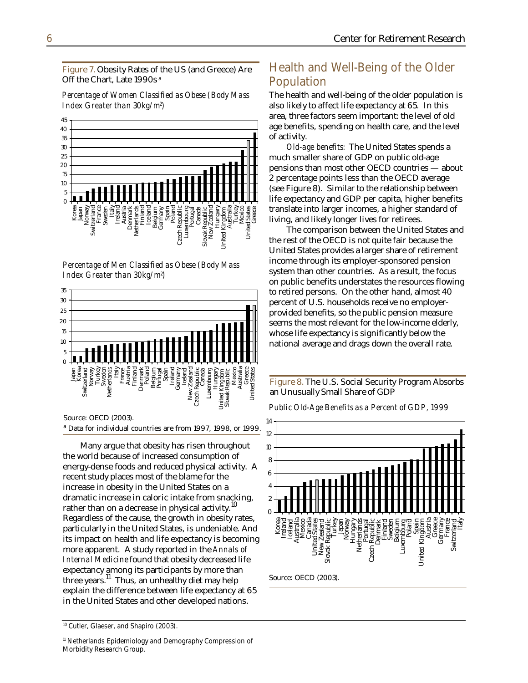Figure 7. Obesity Rates of the US (and Greece) Are Off the Chart, Late 1990s<sup>a</sup>

*Percentage of Women Classified as Obese (Body Mass Index Greater than 30kg/m<sup>2</sup> )*



ovak

Hungary

**Inited** 

Turkey Mexico United Stat Greece



Source: OECD (2003). a Data for individual countries are from 1997, 1998, or 1999.

Many argue that obesity has risen throughout the world because of increased consumption of energy-dense foods and reduced physical activity. A recent study places most of the blame for the increase in obesity in the United States on a dramatic increase in caloric intake from snacking, rather than on a decrease in physical activity.<sup>10</sup> Regardless of the cause, the growth in obesity rates, particularly in the United States, is undeniable. And its impact on health and life expectancy is becoming more apparent. A study reported in the *Annals of Internal Medicine* found that obesity decreased life expectancy among its participants by more than three years.<sup>11</sup> Thus, an unhealthy diet may help explain the difference between life expectancy at 65 in the United States and other developed nations.

#### Health and Well-Being of the Older Population

The health and well-being of the older population is also likely to affect life expectancy at 65. In this area, three factors seem important: the level of old age benefits, spending on health care, and the level of activity.

*Old-age benefits:* The United States spends a much smaller share of GDP on public old-age pensions than most other OECD countries — about 2 percentage points less than the OECD average (see Figure 8). Similar to the relationship between life expectancy and GDP per capita, higher benefits translate into larger incomes, a higher standard of living, and likely longer lives for retirees.

The comparison between the United States and the rest of the OECD is not quite fair because the United States provides a larger share of retirement income through its employer-sponsored pension system than other countries. As a result, the focus on public benefits understates the resources flowing to retired persons. On the other hand, almost 40 percent of U.S. households receive no employerprovided benefits, so the public pension measure seems the most relevant for the low-income elderly, whose life expectancy is significantly below the national average and drags down the overall rate.

Figure 8. The U.S. Social Security Program Absorbs an Unusually Small Share of GDP

*Public Old-Age Benefits as a Percent of GDP, 1999*



> Korea Japan Norway Switzerland France Sweden Te<br>Li Austria Denmark net Finland Iceland Belgium Germany Spain<br>Poland Czech Republic Luxembourg<br>Portugal Canada

<sup>&</sup>lt;sup>10</sup> Cutler, Glaeser, and Shapiro (2003).

<sup>&</sup>lt;sup>11</sup> Netherlands Epidemiology and Demography Compression of Morbidity Research Group.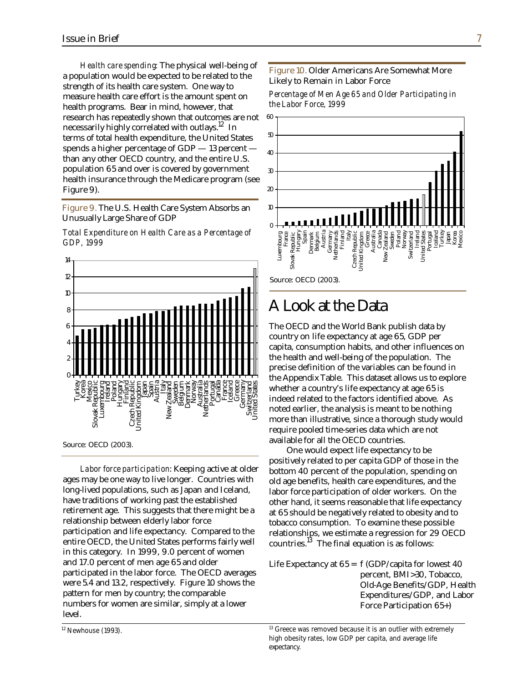*Health care spending*: The physical well-being of a population would be expected to be related to the strength of its health care system. One way to measure health care effort is the amount spent on health programs. Bear in mind, however, that research has repeatedly shown that outcomes are not necessarily highly correlated with outlays.<sup>12</sup> In terms of total health expenditure, the United States spends a higher percentage of GDP — 13 percent than any other OECD country, and the entire U.S. population 65 and over is covered by government health insurance through the Medicare program (see Figure 9).

Figure 9. The U.S. Health Care System Absorbs an Unusually Large Share of GDP

*Total Expenditure on Health Care as a Percentage of GDP, 1999*



*Labor force participation*: Keeping active at older ages may be one way to live longer. Countries with long-lived populations, such as Japan and Iceland, have traditions of working past the established retirement age. This suggests that there might be a relationship between elderly labor force participation and life expectancy. Compared to the entire OECD, the United States performs fairly well in this category. In 1999, 9.0 percent of women and 17.0 percent of men age 65 and older participated in the labor force. The OECD averages were 5.4 and 13.2, respectively. Figure 10 shows the pattern for men by country; the comparable numbers for women are similar, simply at a lower level.

Figure 10. Older Americans Are Somewhat More Likely to Remain in Labor Force

*Percentage of Men Age 65 and Older Participating in the Labor Force, 1999*



## A Look at the Data

The OECD and the World Bank publish data by country on life expectancy at age 65, GDP per capita, consumption habits, and other influences on the health and well-being of the population. The precise definition of the variables can be found in the Appendix Table. This dataset allows us to explore whether a country's life expectancy at age 65 is indeed related to the factors identified above. As noted earlier, the analysis is meant to be nothing more than illustrative, since a thorough study would require pooled time-series data which are not available for all the OECD countries.

One would expect life expectancy to be positively related to per capita GDP of those in the bottom 40 percent of the population, spending on old age benefits, health care expenditures, and the labor force participation of older workers. On the other hand, it seems reasonable that life expectancy at 65 should be negatively related to obesity and to tobacco consumption. To examine these possible relationships, we estimate a regression for 29 OECD countries. $^{13}$  The final equation is as follows:

Life Expectancy at  $65 = f(GDP/capita)$  for lowest 40 percent, BMI>30, Tobacco, Old-Age Benefits/GDP, Health Expenditures/GDP, and Labor Force Participation 65+)

<sup>&</sup>lt;sup>12</sup> Newhouse (1993).  $13$  Greece was removed because it is an outlier with extremely high obesity rates, low GDP per capita, and average life expectancy.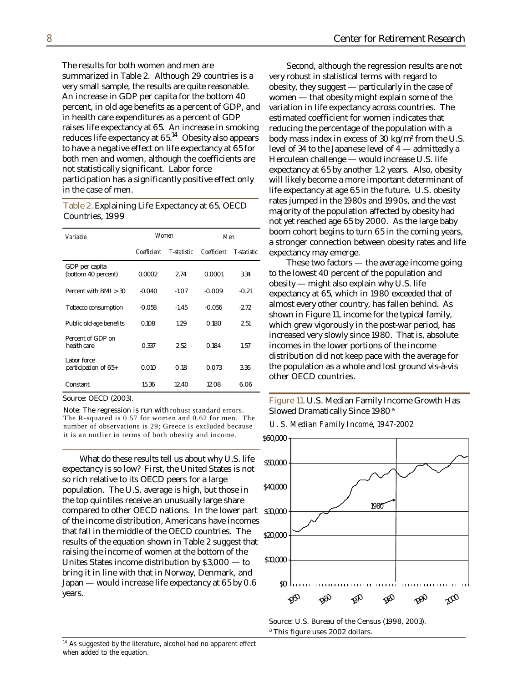The results for both women and men are summarized in Table 2. Although 29 countries is a very small sample, the results are quite reasonable. An increase in GDP per capita for the bottom 40 percent, in old age benefits as a percent of GDP, and in health care expenditures as a percent of GDP raises life expectancy at 65. An increase in smoking reduces life expectancy at  $65<sup>14</sup>$  Obesity also appears to have a negative effect on life expectancy at 65 for both men and women, although the coefficients are not statistically significant. Labor force participation has a significantly positive effect only in the case of men.

#### Table 2. Explainin g Life Expectancy at 65, OECD Countries, 1999

| Variable                              | Women       |                    | Men         |                    |
|---------------------------------------|-------------|--------------------|-------------|--------------------|
|                                       | Coefficient | <b>T-statistic</b> | Coefficient | <b>T-statistic</b> |
| GDP per capita<br>(bottom 40 percent) | 0.0002      | 2.74               | 0.0001      | 3.34               |
| Percent with $BMI > 30$               | $-0.040$    | $-1.07$            | $-0.009$    | $-0.21$            |
| <b>Tobacco consumption</b>            | $-0.058$    | $-1.45$            | $-0.056$    | $-2.72$            |
| Public old-age benefits               | 0.108       | 1.29               | 0.180       | 2.51               |
| Percent of GDP on<br>health care      | 0.337       | 2.52               | 0.184       | 1.57               |
| Labor force<br>participation of 65+   | 0.010       | 0.18               | 0.073       | 3.36               |
| Constant                              | 15.36       | 12.40              | 12.08       | 6.06               |

Source: OECD (2003).

Note: The regression is run with robust standard errors. The R-squared is 0.57 for women and 0.62 for men. The number of observations is 29; Greece is excluded because it is an outlier in terms of both obesity and income.

What do these results tell us about why U.S. life expectancy is so low? First, the United States is not so rich relative to its OECD peers for a large population. The U.S. average is high, but those in the top quintiles receive an unusually large share compared to other OECD nations. In the lower part 30,000 \$ of the income distribution, Americans have incomes that fall in the middle of the OECD countries. The results of the equation shown in Table 2 suggest that raising the income of women at the bottom of the Unites States income distribution by \$3,000 — to bring it in line with that in Norway, Denmark, and Japan — would increase life expectancy at 65 by 0.6 years.

Second, although the regression results are not very robust in statistical terms with regard to  $\rm{obsity},$  they  $\rm{suggest}$  — particularly in the case of women — that obesity might explain some of the variation in life expectancy across countries. The estimated coefficient for women indicates that reducing the percentage of the population with a body mass index in excess of 30 kg/m² from the U.S.  $\,$ level of 34 to the Japanese level of 4 — admittedly a Herculean challenge — would increase U.S. life xpectancy at 65 by another 1.2 years. Also, obesity e will likely become a more important determinant of ife expectancy at age 65 in the future. U.S. obesity l rates jumped in the 1980s and 1990s, and the vast majority of the population affected by obesity had not yet reached age 65 by 2000. As the large baby boom cohort begins to turn 65 in the coming years, a stronger connection between obesity rates and life xpectancy may emerge. e

These two factors — the average income going to the lowest 40 percent of the population and  $\rm{obsity}$  — might also explain why U.S. life expectancy at 65, which in 1980 exceeded that of lmost every other country, has fallen behind. As a shown in Figure 11, income for the typical family, hich grew vigorously in the post-war period, has w ncreased very slowly since 1980. That is, absolute i ncomes in the lower portions of the income i distribution did not keep pace with the average for he population as a whole and lost ground vis-à-vis t other OECD countries.

Figure 11. U.S. Median Family Income Growth Has Slowed Dramatically Since 1980 <sup>a</sup>

*U. S. Median Family Income, 1947-2002*



Source: U.S. Bureau of the Census (1998, 2003). <sup>a</sup> This figure uses 2002 dollars.

<sup>&</sup>lt;sup>14</sup> As suggested by the literature, alcohol had no apparent effect when added to the equation.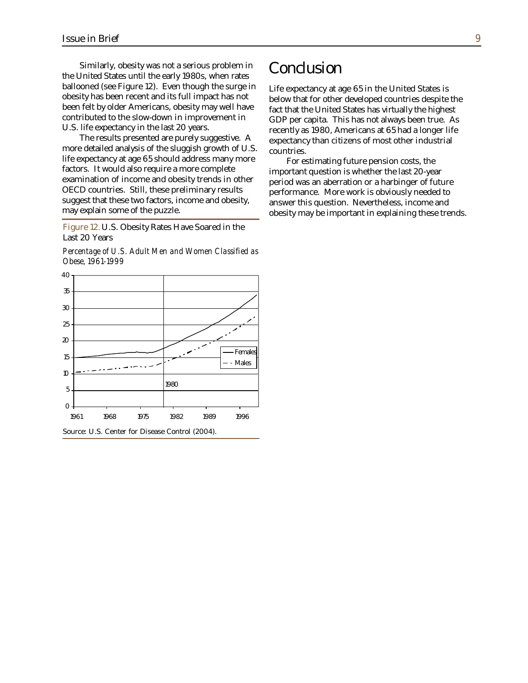Similarly, obesity was not a serious problem in the United States until the early 1980s, when rates ballooned (see Figure 12). Even though the surge in obesity has been recent and its full impact has not been felt by older Americans, obesity may well have contributed to the slow-down in improvement in U.S. life expectancy in the last 20 years.

The results presented are purely suggestive. A more detailed analysis of the sluggish growth of U.S. life expectancy at age 65 should address many more factors. It would also require a more complete examination of income and obesity trends in other OECD countries. Still, these preliminary results suggest that these two factors, income and obesity, may explain some of the puzzle.

Figure 12. U.S. Obesity Rates Have Soared in the Last 20 Years

*Percentage of U.S. Adult Men and Women Classified as Obese, 1961-1999*



## **Conclusion**

Life expectancy at age 65 in the United States is below that for other developed countries despite the fact that the United States has virtually the highest GDP per capita. This has not always been true. As recently as 1980, Americans at 65 had a longer life expectancy than citizens of most other industrial countries.

For estimating future pension costs, the important question is whether the last 20-year period was an aberration or a harbinger of future performance. More work is obviously needed to answer this question. Nevertheless, income and obesity may be important in explaining these trends.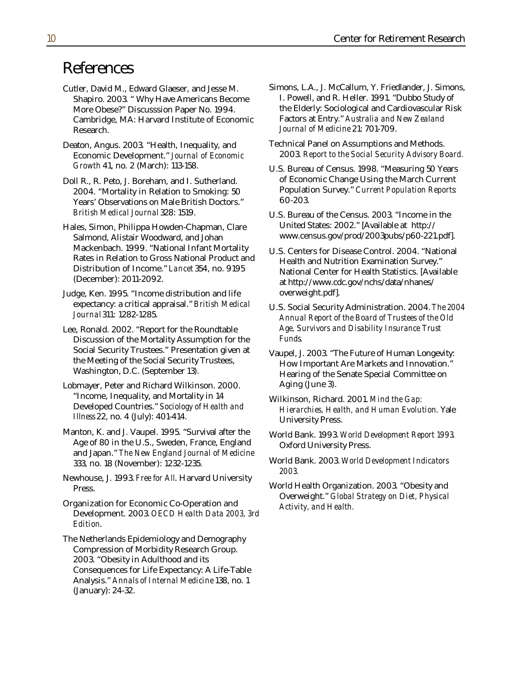## References

- More Obese?" Discusssion Paper No. 1994. the Elderly: Sociological and Cardiovascular<br>Cambridge. MA: Harvard Institute of Economic Factors at Entry." Australia and New Zealand Cambridge, MA: Harvard Institute of Economic Research. *Journal of Medicine* 21: 701-709.
- Economic Development." *Journal of Economic* 2003. *Report to the Social Security Advisory Board.*
- Years' Observations on Male British Doctors." *British Medical Journal* 328: 1519. U.S. Bureau of the Census. 2003. "Income in the
- Salmond, Alistair Woodward, and Johan www.census.gov/prod/2003pubs/p60-221.pdf]. Mackenbach. 1999. "National Infant Mortality U.S. Centers for Disease Control. 2004. "National Rates in Relation to Gross National Product and<br>
Distribution of Income." Lancet 354, no. 9195<br>
National Conter for Health Statistics [Avail
- Judge, Ken. 1995. "Income distribution and life overweight.pdf]. expectancy: a critical appraisal." *British Medical* U.S. Social Security Administration. 2004. *The 2004*
- Discussion of the Mortality Assumption for the *Funds*. Social Security Trustees." Presentation given at Vaupel, J. 2003. "The Future of Human Longevity:<br>
How Important Are Markets and Inportation "
- Lobmayer, Peter and Richard Wilkinson. 2000. Aging (June 3). "Income, Inequality, and Mortality in 14 Wilkinson, Richard. 2001. *Mind the Gap: Illness* 22, no. 4 (July): 401-414. University Press.
- Manton, K. and J. Vaupel. 1995. "Survival after the World Bank. 1993. *World Development Report 1993*. Age of 80 in the U.S., Sweden, France, England Oxford University Press. and Japan." *The New England Journal of Medicine*
- Newhouse, J. 1993. *Free for All*. Harvard University Press. The extended very state of the World Health Organization. 2003. "Obesity and
- Organization for Economic Co-Operation and *Activity, and Health.* Development. 2003. *OECD Health Data 2003, 3rd Edition*.
- The Netherlands Epidemiology and Demography Compression of Morbidity Research Group. 2003. "Obesity in Adulthood and its Consequences for Life Expectancy: A Life-Table Analysis." *Annals of Internal Medicine* 138, no. 1 (January): 24-32.
- Cutler, David M., Edward Glaeser, and Jesse M. Simons, L.A., J. McCallum, Y. Friedlander, J. Simons, Shapiro. 2003. "Why Have Americans Become I. Powell, and R. Heller. 1991. "Dubbo Study of More Obese?" Discusssion Paper No. 1994. "The Elderly: Sociological and Cardiovascular Risk
- Deaton, Angus. 2003. "Health, Inequality, and Technical Panel on Assumptions and Methods.
- *Growth* 41, no. 2 (March): 113-158. U.S. Bureau of Census. 1998. "Measuring 50 Years Doll R., R. Peto, J. Boreham, and I. Sutherland. of Economic Change Using the March Current 2004. "Mortality in Relation to Smoking: 50 Population Survey." *Current Population Reports:*
- Hales, Simon, Philippa Howden-Chapman, Clare United States: 2002." [Available at http://
	- Distribution of Income." *Lancet* 354, no. 9195 National Center for Health Statistics. [Available at http://www.cdc.gov/nchs/data/nhanes/
- **Annual Report of the Board of Trustees of the Old** Lee, Ronald. 2002. "Report for the Roundtable *Age, Survivors and Disability Insurance Trust*
	- the Meeting of the Social Security Trustees, **How Important Are Markets and Innovation**."<br>Washington, D.C. (September 13). Hearing of the Senate Special Committee on Hearing of the Senate Special Committee on
		- **Hierarchies, Health, and Human Evolution. Yale**
		-
	- 333, no. 18 (November): 1232-1235. World Bank. 2003. *World Development Indicators 2003*.
		- Overweight." *Global Strategy on Diet, Physical*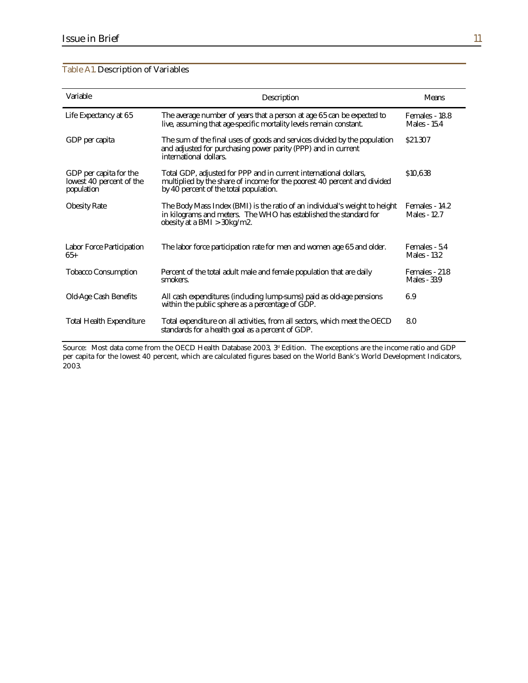| <b>Table A1. Description of Variables</b> |  |  |
|-------------------------------------------|--|--|
|-------------------------------------------|--|--|

| <b>Variable</b>                                                  | <b>Description</b>                                                                                                                                                                      | <b>Means</b>                          |
|------------------------------------------------------------------|-----------------------------------------------------------------------------------------------------------------------------------------------------------------------------------------|---------------------------------------|
| Life Expectancy at 65                                            | The average number of years that a person at age 65 can be expected to<br>live, assuming that age-specific mortality levels remain constant.                                            | Females - 18.8<br><b>Males - 15.4</b> |
| GDP per capita                                                   | The sum of the final uses of goods and services divided by the population<br>and adjusted for purchasing power parity (PPP) and in current<br>international dollars.                    | \$21.307                              |
| GDP per capita for the<br>lowest 40 percent of the<br>population | Total GDP, adjusted for PPP and in current international dollars,<br>multiplied by the share of income for the poorest 40 percent and divided<br>by 40 percent of the total population. | \$10,638                              |
| <b>Obesity Rate</b>                                              | The Body Mass Index (BMI) is the ratio of an individual's weight to height<br>in kilograms and meters. The WHO has established the standard for<br>obesity at a BMI $>$ 30kg/m2.        | Females - 14.2<br><b>Males - 12.7</b> |
| <b>Labor Force Participation</b><br>$65+$                        | The labor force participation rate for men and women age 65 and older.                                                                                                                  | Females - 5.4<br><b>Males - 13.2</b>  |
| <b>Tobacco Consumption</b>                                       | Percent of the total adult male and female population that are daily<br>smokers.                                                                                                        | Females - 21.8<br><b>Males - 33.9</b> |
| <b>Old-Age Cash Benefits</b>                                     | All cash expenditures (including lump-sums) paid as old-age pensions<br>within the public sphere as a percentage of GDP.                                                                | 6.9                                   |
| <b>Total Health Expenditure</b>                                  | Total expenditure on all activities, from all sectors, which meet the OECD<br>standards for a health goal as a percent of GDP.                                                          | 8.0                                   |

Source: Most data come from the OECD Health Database 2003, 3<sup>d</sup> Edition. The exceptions are the income ratio and GDP per capita for the lowest 40 percent, which are calculated figures based on the World Bank's World Development Indicators, 2003.